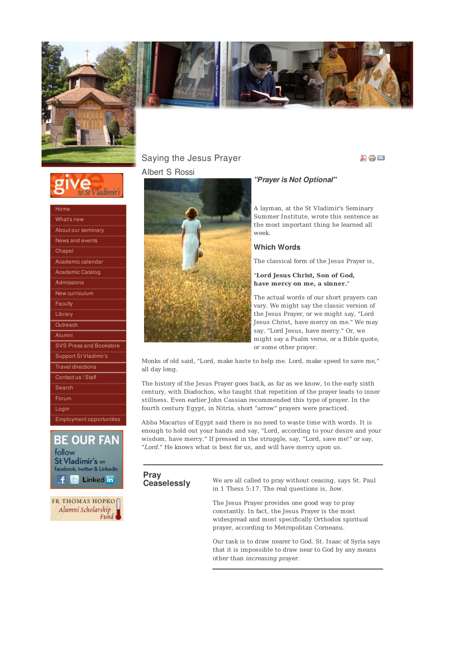





| Home                           |
|--------------------------------|
| What's new                     |
| About our seminary             |
| News and events                |
| Chapel                         |
| Academic calendar              |
| Academic Catalog               |
| Admissions                     |
| New curriculum                 |
| Faculty                        |
| Library                        |
| Outreach                       |
| Alumni                         |
| <b>SVS Press and Bookstore</b> |
| Support St Vladimir's          |
| <b>Travel directions</b>       |
| Contact us / Staff             |
| Search                         |
| Forum                          |
| Login                          |
| Employment opportunities       |



**FR THOMAS HOPKO** Alumni Scholarship

## Saying the Jesus Prayer Albert S Rossi



### "Prayer is Not Optional"

A layman, at the St Vladimir's Seminary Summer Institute, wrote this sentence as the most important thing he learned all week.

美国社

### Which Words

The classical form of the Jesus Prayer is,

"**Lord Jesus Christ, Son of God, have mercy on me, a sinner.**"

The actual words of our short prayers can vary. We might say the classic version of the Jesus Prayer, or we might say, "Lord Jesus Christ, have mercy on me." We may say, "Lord Jesus, have mercy." Or, we might say a Psalm verse, or a Bible quote, or some other prayer.

Monks of old said, "Lord, make haste to help me. Lord, make speed to save me," all day long.

The history of the Jesus Prayer goes back, as far as we know, to the early sixth century, with Diadochos, who taught that repetition of the prayer leads to inner stillness. Even earlier John Cassian recommended this type of prayer. In the fourth century Egypt, in Nitria, short "arrow" prayers were practiced.

Abba Macarius of Egypt said there is no need to waste time with words. It is enough to hold out your hands and say, "Lord, according to your desire and your wisdom, have mercy." If pressed in the struggle, say, "Lord, save me!" or say, "Lord." He knows what is best for us, and will have mercy upon us.

Pray<br>Ceaselessly

We are all called to pray without ceasing, says St. Paul in 1 Thess 5:17. The real questions is, how.

The Jesus Prayer provides one good way to pray constantly. In fact, the Jesus Prayer is the most widespread and most specifically Orthodox spiritual prayer, according to Metropolitan Corneanu.

Our task is to draw nearer to God. St. Isaac of Syria says that it is impossible to draw near to God by any means other than increasing prayer.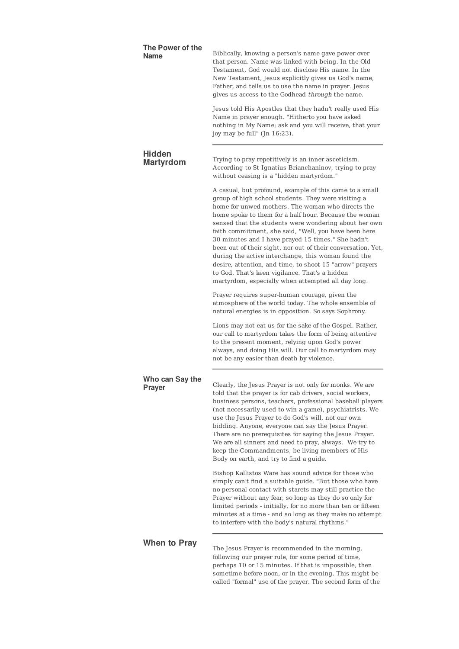| The Power of the<br>Name          | Biblically, knowing a person's name gave power over<br>that person. Name was linked with being. In the Old<br>Testament, God would not disclose His name. In the<br>New Testament, Jesus explicitly gives us God's name,<br>Father, and tells us to use the name in prayer. Jesus<br>gives us access to the Godhead through the name.                                                                                                                                                                                                                                                                                                                                                           |
|-----------------------------------|-------------------------------------------------------------------------------------------------------------------------------------------------------------------------------------------------------------------------------------------------------------------------------------------------------------------------------------------------------------------------------------------------------------------------------------------------------------------------------------------------------------------------------------------------------------------------------------------------------------------------------------------------------------------------------------------------|
|                                   | Jesus told His Apostles that they hadn't really used His<br>Name in prayer enough. "Hitherto you have asked<br>nothing in My Name; ask and you will receive, that your<br>joy may be full" (Jn 16:23).                                                                                                                                                                                                                                                                                                                                                                                                                                                                                          |
| <b>Hidden</b><br><b>Martyrdom</b> | Trying to pray repetitively is an inner asceticism.<br>According to St Ignatius Brianchaninov, trying to pray<br>without ceasing is a "hidden martyrdom."                                                                                                                                                                                                                                                                                                                                                                                                                                                                                                                                       |
|                                   | A casual, but profound, example of this came to a small<br>group of high school students. They were visiting a<br>home for unwed mothers. The woman who directs the<br>home spoke to them for a half hour. Because the woman<br>sensed that the students were wondering about her own<br>faith commitment, she said, "Well, you have been here<br>30 minutes and I have prayed 15 times." She hadn't<br>been out of their sight, nor out of their conversation. Yet,<br>during the active interchange, this woman found the<br>desire, attention, and time, to shoot 15 "arrow" prayers<br>to God. That's keen vigilance. That's a hidden<br>martyrdom, especially when attempted all day long. |
|                                   | Prayer requires super-human courage, given the<br>atmosphere of the world today. The whole ensemble of<br>natural energies is in opposition. So says Sophrony.                                                                                                                                                                                                                                                                                                                                                                                                                                                                                                                                  |
|                                   | Lions may not eat us for the sake of the Gospel. Rather,<br>our call to martyrdom takes the form of being attentive<br>to the present moment, relying upon God's power<br>always, and doing His will. Our call to martyrdom may<br>not be any easier than death by violence.                                                                                                                                                                                                                                                                                                                                                                                                                    |
| Who can Say the<br>Prayer         | Clearly, the Jesus Prayer is not only for monks. We are<br>told that the prayer is for cab drivers, social workers,<br>business persons, teachers, professional baseball players<br>(not necessarily used to win a game), psychiatrists. We<br>use the Jesus Prayer to do God's will, not our own<br>bidding. Anyone, everyone can say the Jesus Prayer.<br>There are no prerequisites for saying the Jesus Prayer.<br>We are all sinners and need to pray, always. We try to<br>keep the Commandments, be living members of His<br>Body on earth, and try to find a guide.                                                                                                                     |
|                                   | Bishop Kallistos Ware has sound advice for those who<br>simply can't find a suitable guide. "But those who have<br>no personal contact with starets may still practice the<br>Prayer without any fear, so long as they do so only for<br>limited periods - initially, for no more than ten or fifteen<br>minutes at a time - and so long as they make no attempt<br>to interfere with the body's natural rhythms."                                                                                                                                                                                                                                                                              |
| <b>When to Pray</b>               | The Jesus Prayer is recommended in the morning,<br>following our prayer rule, for some period of time,<br>perhaps 10 or 15 minutes. If that is impossible, then<br>sometime before noon, or in the evening. This might be                                                                                                                                                                                                                                                                                                                                                                                                                                                                       |

called "formal" use of the prayer. The second form of the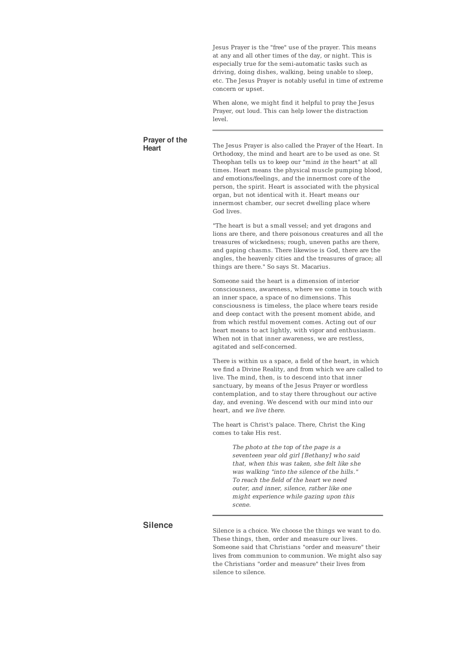Jesus Prayer is the "free" use of the prayer. This means at any and all other times of the day, or night. This is especially true for the semi-automatic tasks such as driving, doing dishes, walking, being unable to sleep, etc. The Jesus Prayer is notably useful in time of extreme concern or upset.

When alone, we might find it helpful to pray the Jesus Prayer, out loud. This can help lower the distraction  $|q_{\text{av}}|$ 

## Prayer of the

The Jesus Prayer is also called the Prayer of the Heart. In Orthodoxy, the mind and heart are to be used as one. St Theophan tells us to keep our "mind in the heart" at all times. Heart means the physical muscle pumping blood, and emotions/feelings, and the innermost core of the person, the spirit. Heart is associated with the physical organ, but not identical with it. Heart means our innermost chamber, our secret dwelling place where God lives.

"The heart is but a small vessel; and yet dragons and lions are there, and there poisonous creatures and all the treasures of wickedness; rough, uneven paths are there, and gaping chasms. There likewise is God, there are the angles, the heavenly cities and the treasures of grace; all things are there." So says St. Macarius.

Someone said the heart is a dimension of interior consciousness, awareness, where we come in touch with an inner space, a space of no dimensions. This consciousness is timeless, the place where tears reside and deep contact with the present moment abide, and from which restful movement comes. Acting out of our heart means to act lightly, with vigor and enthusiasm. When not in that inner awareness, we are restless, agitated and self-concerned.

There is within us a space, a field of the heart, in which we find a Divine Reality, and from which we are called to live. The mind, then, is to descend into that inner sanctuary, by means of the Jesus Prayer or wordless contemplation, and to stay there throughout our active day, and evening. We descend with our mind into our heart, and we live there.

The heart is Christ's palace. There, Christ the King comes to take His rest.

> The photo at the top of the page is a seventeen year old girl [Bethany] who said that, when this was taken, she felt like she was walking "into the silence of the hills." To reach the field of the heart we need outer, and inner, silence, rather like one might experience while gazing upon this scene.

### **Silence**

Silence is a choice. We choose the things we want to do. These things, then, order and measure our lives. Someone said that Christians "order and measure" their lives from communion to communion. We might also say the Christians "order and measure" their lives from silence to silence.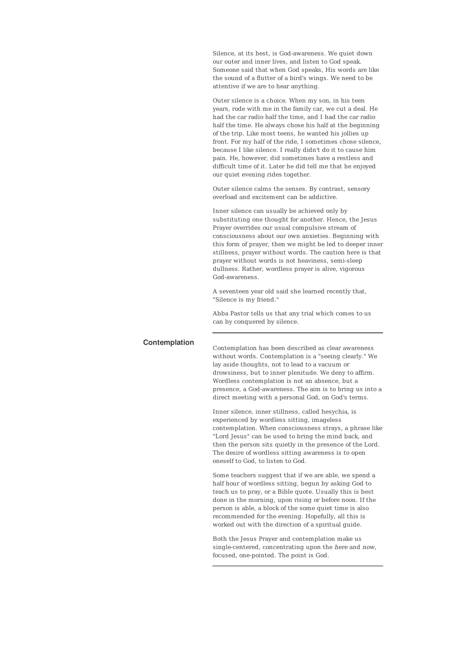Silence, at its best, is God-awareness. We quiet down our outer and inner lives, and listen to God speak. Someone said that when God speaks, His words are like the sound of a flutter of a bird's wings. We need to be attentive if we are to hear anything.

Outer silence is a choice. When my son, in his teen years, rode with me in the family car, we cut a deal. He had the car radio half the time, and I had the car radio half the time. He always chose his half at the beginning of the trip. Like most teens, he wanted his jollies up front. For my half of the ride, I sometimes chose silence, because I like silence. I really didn't do it to cause him pain. He, however, did sometimes have a restless and difficult time of it. Later he did tell me that he enjoyed our quiet evening rides together.

Outer silence calms the senses. By contrast, sensory overload and excitement can be addictive.

Inner silence can usually be achieved only by substituting one thought for another. Hence, the Jesus Prayer overrides our usual compulsive stream of consciousness about our own anxieties. Beginning with this form of prayer, then we might be led to deeper inner stillness, prayer without words. The caution here is that prayer without words is not heaviness, semi-sleep dullness. Rather, wordless prayer is alive, vigorous God-awareness.

A seventeen year old said she learned recently that, "Silence is my friend."

Abba Pastor tells us that any trial which comes to us can by conquered by silence.

Contemplation Contemplation has been described as clear awareness without words. Contemplation is a "seeing clearly." We lay aside thoughts, not to lead to a vacuum or drowsiness, but to inner plenitude. We deny to affirm. Wordless contemplation is not an absence, but a presence, a God-awareness. The aim is to bring us into a direct meeting with a personal God, on God's terms.

> Inner silence, inner stillness, called hesychia, is experienced by wordless sitting, imageless contemplation. When consciousness strays, a phrase like "Lord Jesus" can be used to bring the mind back, and then the person sits quietly in the presence of the Lord. The desire of wordless sitting awareness is to open oneself to God, to listen to God.

Some teachers suggest that if we are able, we spend a half hour of wordless sitting, begun by asking God to teach us to pray, or a Bible quote. Usually this is best done in the morning, upon rising or before noon. If the person is able, a block of the some quiet time is also recommended for the evening. Hopefully, all this is worked out with the direction of a spiritual guide.

Both the Jesus Prayer and contemplation make us single-centered, concentrating upon the here and now, focused, one-pointed. The point is God.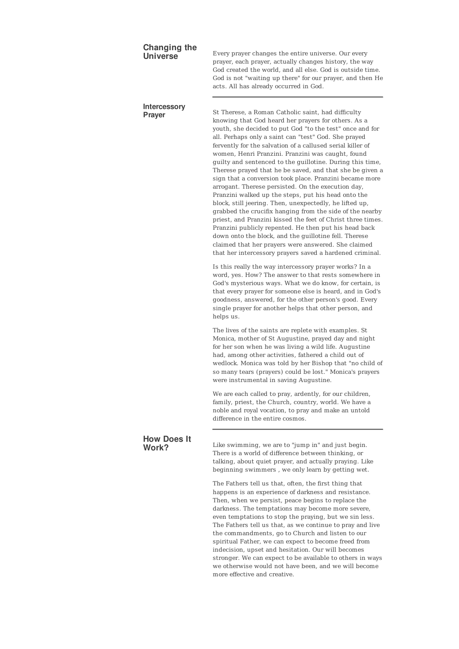## Changing the<br>Universe

Every prayer changes the entire universe. Our every prayer, each prayer, actually changes history, the way God created the world, and all else. God is outside time. God is not "waiting up there" for our prayer, and then He acts. All has already occurred in God.

# Intercessory<br>Prayer

St Therese, a Roman Catholic saint, had difficulty knowing that God heard her prayers for others. As a youth, she decided to put God "to the test" once and for all. Perhaps only a saint can "test" God. She prayed fervently for the salvation of a callused serial killer of women, Henri Pranzini. Pranzini was caught, found guilty and sentenced to the guillotine. During this time, Therese prayed that he be saved, and that she be given a sign that a conversion took place. Pranzini became more arrogant. Therese persisted. On the execution day, Pranzini walked up the steps, put his head onto the block, still jeering. Then, unexpectedly, he lifted up, grabbed the crucifix hanging from the side of the nearby priest, and Pranzini kissed the feet of Christ three times. Pranzini publicly repented. He then put his head back down onto the block, and the guillotine fell. Therese claimed that her prayers were answered. She claimed that her intercessory prayers saved a hardened criminal.

Is this really the way intercessory prayer works? In a word, yes. How? The answer to that rests somewhere in God's mysterious ways. What we do know, for certain, is that every prayer for someone else is heard, and in God's goodness, answered, for the other person's good. Every single prayer for another helps that other person, and helps us.

The lives of the saints are replete with examples. St Monica, mother of St Augustine, prayed day and night for her son when he was living a wild life. Augustine had, among other activities, fathered a child out of wedlock. Monica was told by her Bishop that "no child of so many tears (prayers) could be lost." Monica's prayers were instrumental in saving Augustine.

We are each called to pray, ardently, for our children, family, priest, the Church, country, world. We have a noble and royal vocation, to pray and make an untold difference in the entire cosmos

# How Does It<br>Work?

Like swimming, we are to "jump in" and just begin. There is a world of difference between thinking, or talking, about quiet prayer, and actually praying. Like beginning swimmers , we only learn by getting wet.

The Fathers tell us that, often, the first thing that happens is an experience of darkness and resistance. Then, when we persist, peace begins to replace the darkness. The temptations may become more severe, even temptations to stop the praying, but we sin less. The Fathers tell us that, as we continue to pray and live the commandments, go to Church and listen to our spiritual Father, we can expect to become freed from indecision, upset and hesitation. Our will becomes stronger. We can expect to be available to others in ways we otherwise would not have been, and we will become more effective and creative.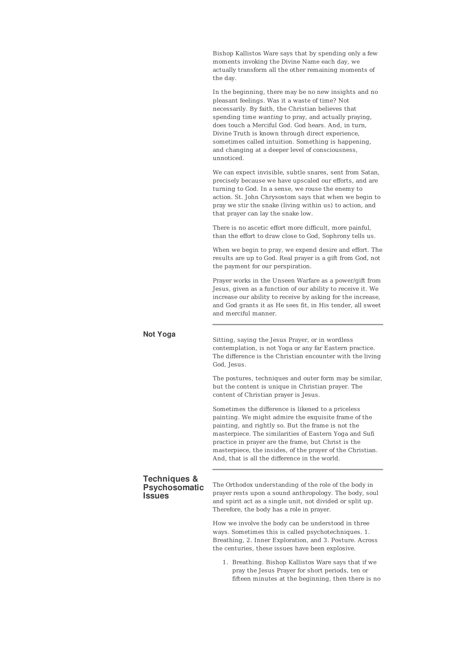Bishop Kallistos Ware says that by spending only a few moments invoking the Divine Name each day, we actually transform all the other remaining moments of the day.

In the beginning, there may be no new insights and no pleasant feelings. Was it a waste of time? Not necessarily. By faith, the Christian believes that spending time wanting to pray, and actually praying, does touch a Merciful God. God hears. And, in turn, Divine Truth is known through direct experience, sometimes called intuition. Something is happening, and changing at a deeper level of consciousness, unnoticed.

We can expect invisible, subtle snares, sent from Satan, precisely because we have upscaled our efforts, and are turning to God. In a sense, we rouse the enemy to action. St. John Chrysostom says that when we begin to pray we stir the snake (living within us) to action, and that prayer can lay the snake low.

There is no ascetic effort more difficult, more painful, than the effort to draw close to God, Sophrony tells us.

When we begin to pray, we expend desire and effort. The results are up to God. Real prayer is a gift from God, not the payment for our perspiration.

Prayer works in the Unseen Warfare as a power/gift from Jesus, given as a function of our ability to receive it. We increase our ability to receive by asking for the increase, and God grants it as He sees fit, in His tender, all sweet and merciful manner.

Not Yoga<br>Sitting, saying the Jesus Prayer, or in wordless contemplation, is not Yoga or any far Eastern practice. The difference is the Christian encounter with the living God, Jesus.

> The postures, techniques and outer form may be similar, but the content is unique in Christian prayer. The content of Christian prayer is Jesus.

Sometimes the difference is likened to a priceless painting. We might admire the exquisite frame of the painting, and rightly so. But the frame is not the masterpiece. The similarities of Eastern Yoga and Sufi practice in prayer are the frame, but Christ is the masterpiece, the insides, of the prayer of the Christian. And, that is all the difference in the world.

### Techniques & **Psychosomatic Issues**

The Orthodox understanding of the role of the body in prayer rests upon a sound anthropology. The body, soul and spirit act as a single unit, not divided or split up. Therefore, the body has a role in prayer.

How we involve the body can be understood in three ways. Sometimes this is called psychotechniques. 1. Breathing, 2. Inner Exploration, and 3. Posture. Across the centuries, these issues have been explosive.

1. Breathing. Bishop Kallistos Ware says that if we pray the Jesus Prayer for short periods, ten or fifteen minutes at the beginning, then there is no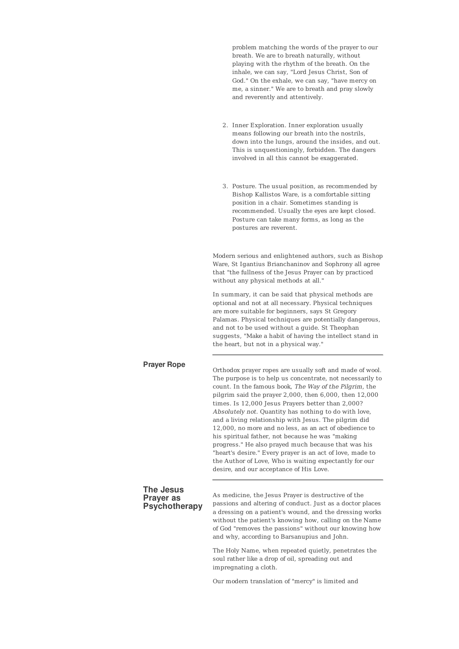problem matching the words of the prayer to our breath. We are to breath naturally, without playing with the rhythm of the breath. On the inhale, we can say, "Lord Jesus Christ, Son of God." On the exhale, we can say, "have mercy on me, a sinner." We are to breath and pray slowly and reverently and attentively.

- 2. Inner Exploration. Inner exploration usually means following our breath into the nostrils, down into the lungs, around the insides, and out. This is unquestioningly, forbidden. The dangers involved in all this cannot be exaggerated.
- 3. Posture. The usual position, as recommended by Bishop Kallistos Ware, is a comfortable sitting position in a chair. Sometimes standing is recommended. Usually the eyes are kept closed. Posture can take many forms, as long as the postures are reverent.

Modern serious and enlightened authors, such as Bishop Ware, St Igantius Brianchaninov and Sophrony all agree that "the fullness of the Jesus Prayer can by practiced without any physical methods at all."

In summary, it can be said that physical methods are optional and not at all necessary. Physical techniques are more suitable for beginners, says St Gregory Palamas. Physical techniques are potentially dangerous, and not to be used without a guide. St Theophan suggests, "Make a habit of having the intellect stand in the heart, but not in a physical way."

**Prayer Rope**<br>Orthodox prayer ropes are usually soft and made of wool. The purpose is to help us concentrate, not necessarily to count. In the famous book, The Way of the Pilgrim, the pilgrim said the prayer 2,000, then 6,000, then 12,000 times. Is 12,000 Jesus Prayers better than 2,000? Absolutely not. Quantity has nothing to do with love, and a living relationship with Jesus. The pilgrim did 12,000, no more and no less, as an act of obedience to his spiritual father, not because he was "making progress." He also prayed much because that was his "heart's desire." Every prayer is an act of love, made to the Author of Love, Who is waiting expectantly for our desire, and our acceptance of His Love.

### The Jesus Prayer as **Psychotherapy**

As medicine, the Jesus Prayer is destructive of the passions and altering of conduct. Just as a doctor places a dressing on a patient's wound, and the dressing works without the patient's knowing how, calling on the Name of God "removes the passions" without our knowing how and why, according to Barsanupius and John.

The Holy Name, when repeated quietly, penetrates the soul rather like a drop of oil, spreading out and impregnating a cloth.

Our modern translation of "mercy" is limited and